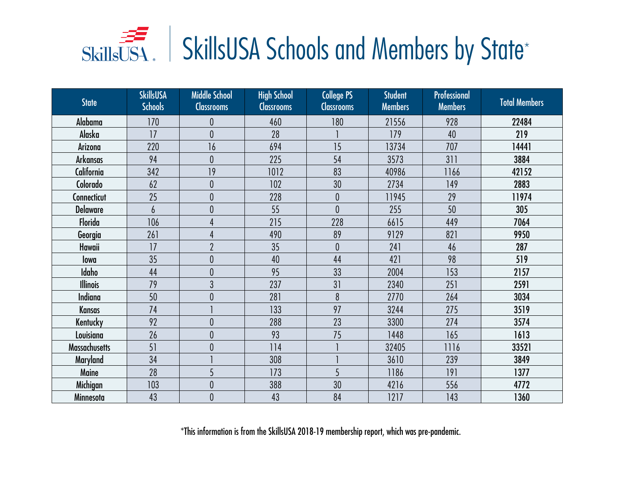| <b>State</b>         | <b>SkillsUSA</b><br><b>Schools</b> | <b>Middle School</b><br><b>Classrooms</b> | <b>High School</b><br><b>Classrooms</b> | <b>College PS</b><br><b>Classrooms</b> | <b>Student</b><br><b>Members</b> | Professional<br><b>Members</b> | <b>Total Members</b> |
|----------------------|------------------------------------|-------------------------------------------|-----------------------------------------|----------------------------------------|----------------------------------|--------------------------------|----------------------|
| Alabama              | 170                                | 0                                         | 460                                     | 180                                    | 21556                            | 928                            | 22484                |
| Alaska               | 17                                 | $\theta$                                  | 28                                      |                                        | 179                              | 40                             | 219                  |
| Arizona              | 220                                | 16                                        | 694                                     | 15                                     | 13734                            | 707                            | 14441                |
| <b>Arkansas</b>      | 94                                 | $\theta$                                  | 225                                     | 54                                     | 3573                             | 311                            | 3884                 |
| California           | 342                                | 19                                        | 1012                                    | 83                                     | 40986                            | 1166                           | 42152                |
| Colorado             | 62                                 | 0                                         | 102                                     | 30                                     | 2734                             | 149                            | 2883                 |
| Connecticut          | 25                                 | $\theta$                                  | 228                                     | $\boldsymbol{0}$                       | 11945                            | 29                             | 11974                |
| <b>Delaware</b>      | 6                                  | 0                                         | 55                                      | $\mathbf{0}$                           | 255                              | 50                             | 305                  |
| Florida              | 106                                |                                           | 215                                     | 228                                    | 6615                             | 449                            | 7064                 |
| Georgia              | 261                                |                                           | 490                                     | 89                                     | 9129                             | 821                            | 9950                 |
| Hawaii               | 17                                 | $\overline{2}$                            | 35                                      | $\theta$                               | 241                              | 46                             | 287                  |
| lowa                 | 35                                 | 0                                         | 40                                      | 44                                     | 421                              | 98                             | 519                  |
| Idaho                | 44                                 | 0                                         | 95                                      | 33                                     | 2004                             | 153                            | 2157                 |
| <b>Illinois</b>      | 79                                 | 3                                         | 237                                     | 31                                     | 2340                             | 251                            | 2591                 |
| <b>Indiana</b>       | 50                                 | 0                                         | 281                                     | 8                                      | 2770                             | 264                            | 3034                 |
| <b>Kansas</b>        | 74                                 |                                           | 133                                     | 97                                     | 3244                             | 275                            | 3519                 |
| Kentucky             | 92                                 | 0                                         | 288                                     | 23                                     | 3300                             | 274                            | 3574                 |
| Louisiana            | 26                                 | $\overline{0}$                            | 93                                      | 75                                     | 1448                             | 165                            | 1613                 |
| <b>Massachusetts</b> | 51                                 | 0                                         | 114                                     |                                        | 32405                            | 1116                           | 33521                |
| Maryland             | 34                                 |                                           | 308                                     |                                        | 3610                             | 239                            | 3849                 |
| Maine                | 28                                 | 5                                         | 173                                     | 5                                      | 1186                             | 191                            | 1377                 |
| Michigan             | 103                                | $\overline{0}$                            | 388                                     | 30                                     | 4216                             | 556                            | 4772                 |
| Minnesota            | 43                                 | $\theta$                                  | 43                                      | 84                                     | 1217                             | 143                            | 1360                 |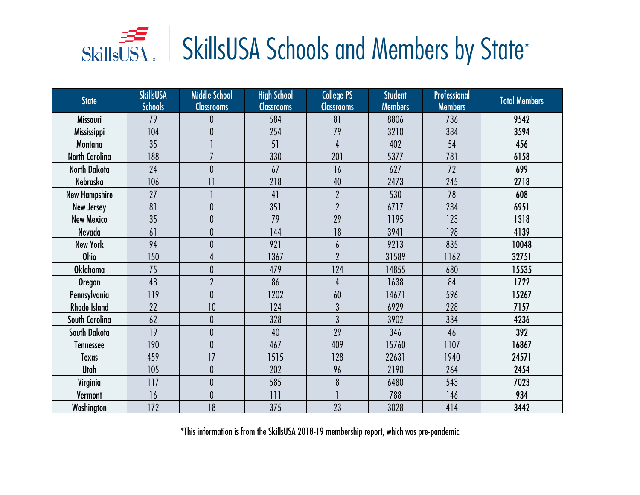| State                 | <b>SkillsUSA</b><br><b>Schools</b> | <b>Middle School</b><br><b>Classrooms</b> | <b>High School</b><br><b>Classrooms</b> | <b>College PS</b><br><b>Classrooms</b> | <b>Student</b><br><b>Members</b> | Professional<br><b>Members</b> | <b>Total Members</b> |
|-----------------------|------------------------------------|-------------------------------------------|-----------------------------------------|----------------------------------------|----------------------------------|--------------------------------|----------------------|
| Missouri              | 79                                 |                                           | 584                                     | 81                                     | 8806                             | 736                            | 9542                 |
| <b>Mississippi</b>    | 104                                | 0                                         | 254                                     | 79                                     | 3210                             | 384                            | 3594                 |
| Montana               | 35                                 |                                           | 51                                      | $\overline{4}$                         | 402                              | 54                             | 456                  |
| <b>North Carolina</b> | 188                                | $\overline{7}$                            | 330                                     | 201                                    | 5377                             | 781                            | 6158                 |
| North Dakota          | 24                                 | $\overline{0}$                            | 67                                      | 16                                     | 627                              | 72                             | 699                  |
| Nebraska              | 106                                | 11                                        | 218                                     | 40                                     | 2473                             | 245                            | 2718                 |
| <b>New Hampshire</b>  | 27                                 |                                           | 41                                      | $\overline{2}$                         | 530                              | 78                             | 608                  |
| <b>New Jersey</b>     | 81                                 | 0                                         | 351                                     | $\overline{\phantom{a}}$               | 6717                             | 234                            | 6951                 |
| <b>New Mexico</b>     | 35                                 | $\overline{0}$                            | 79                                      | 29                                     | 1195                             | 123                            | 1318                 |
| Nevada                | 61                                 | 0                                         | 144                                     | 18                                     | 3941                             | 198                            | 4139                 |
| <b>New York</b>       | 94                                 | 0                                         | 921                                     | 6                                      | 9213                             | 835                            | 10048                |
| <b>Ohio</b>           | 150                                | 4                                         | 1367                                    | $\overline{2}$                         | 31589                            | 1162                           | 32751                |
| <b>Oklahoma</b>       | 75                                 | 0                                         | 479                                     | 124                                    | 14855                            | 680                            | 15535                |
| <b>Oregon</b>         | 43                                 | $\overline{2}$                            | 86                                      | $\overline{4}$                         | 1638                             | 84                             | 1722                 |
| Pennsylvania          | 119                                | $\mathbf{0}$                              | 1202                                    | 60                                     | 14671                            | 596                            | 15267                |
| <b>Rhode Island</b>   | 22                                 | 10                                        | 124                                     | $\overline{3}$                         | 6929                             | 228                            | 7157                 |
| South Carolina        | 62                                 | 0                                         | 328                                     | 3                                      | 3902                             | 334                            | 4236                 |
| South Dakota          | 19                                 | $\overline{0}$                            | 40                                      | 29                                     | 346                              | 46                             | 392                  |
| Tennessee             | 190                                | $\overline{0}$                            | 467                                     | 409                                    | 15760                            | 1107                           | 16867                |
| Texas                 | 459                                | 17                                        | 1515                                    | 128                                    | 22631                            | 1940                           | 24571                |
| <b>Utah</b>           | 105                                | 0                                         | 202                                     | 96                                     | 2190                             | 264                            | 2454                 |
| Virginia              | 117                                | 0                                         | 585                                     | 8                                      | 6480                             | 543                            | 7023                 |
| Vermont               | 16                                 | $\overline{0}$                            | 111                                     |                                        | 788                              | 146                            | 934                  |
| Washington            | 172                                | 18                                        | 375                                     | 23                                     | 3028                             | 414                            | 3442                 |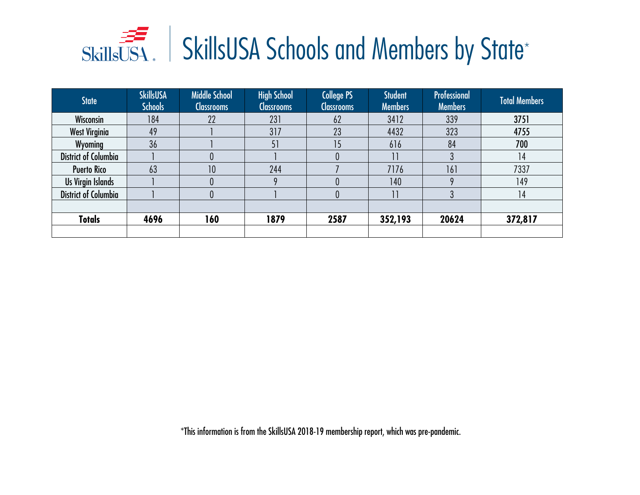| <b>State</b>                | <b>SkillsUSA</b><br><b>Schools</b> | <b>Middle School</b><br><b>Classrooms</b> | <b>High School</b><br><b>Classrooms</b> | College PS<br><b>Classrooms</b> | <b>Student</b><br><b>Members</b> | Professional<br><b>Members</b> | <b>Total Members</b> |
|-----------------------------|------------------------------------|-------------------------------------------|-----------------------------------------|---------------------------------|----------------------------------|--------------------------------|----------------------|
| Wisconsin                   | 184                                | 22                                        | 231                                     | 62                              | 3412                             | 339                            | 3751                 |
| <b>West Virginia</b>        | 49                                 |                                           | 317                                     | 23                              | 4432                             | 323                            | 4755                 |
| Wyoming                     | 36                                 |                                           | 51                                      | 15                              | 616                              | 84                             | 700                  |
| <b>District of Columbia</b> |                                    |                                           |                                         |                                 | 11                               |                                | 14                   |
| <b>Puerto Rico</b>          | 63                                 | 10                                        | 244                                     |                                 | 7176                             | 161                            | 7337                 |
| Us Virgin Islands           |                                    |                                           |                                         |                                 | 140                              |                                | 149                  |
| <b>District of Columbia</b> |                                    |                                           |                                         |                                 | $\overline{11}$                  |                                | 14                   |
|                             |                                    |                                           |                                         |                                 |                                  |                                |                      |
| <b>Totals</b>               | 4696                               | 160                                       | 1879                                    | 2587                            | 352,193                          | 20624                          | 372,817              |
|                             |                                    |                                           |                                         |                                 |                                  |                                |                      |